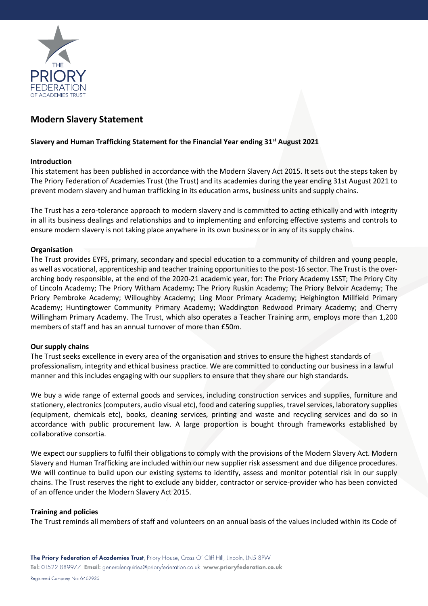

# **Modern Slavery Statement**

## **Slavery and Human Trafficking Statement for the Financial Year ending 31st August 2021**

## **Introduction**

This statement has been published in accordance with the Modern Slavery Act 2015. It sets out the steps taken by The Priory Federation of Academies Trust (the Trust) and its academies during the year ending 31st August 2021 to prevent modern slavery and human trafficking in its education arms, business units and supply chains.

The Trust has a zero-tolerance approach to modern slavery and is committed to acting ethically and with integrity in all its business dealings and relationships and to implementing and enforcing effective systems and controls to ensure modern slavery is not taking place anywhere in its own business or in any of its supply chains.

## **Organisation**

The Trust provides EYFS, primary, secondary and special education to a community of children and young people, as well as vocational, apprenticeship and teacher training opportunities to the post-16 sector. The Trust is the overarching body responsible, at the end of the 2020-21 academic year, for: The Priory Academy LSST; The Priory City of Lincoln Academy; The Priory Witham Academy; The Priory Ruskin Academy; The Priory Belvoir Academy; The Priory Pembroke Academy; Willoughby Academy; Ling Moor Primary Academy; Heighington Millfield Primary Academy; Huntingtower Community Primary Academy; Waddington Redwood Primary Academy; and Cherry Willingham Primary Academy. The Trust, which also operates a Teacher Training arm, employs more than 1,200 members of staff and has an annual turnover of more than £50m.

## **Our supply chains**

The Trust seeks excellence in every area of the organisation and strives to ensure the highest standards of professionalism, integrity and ethical business practice. We are committed to conducting our business in a lawful manner and this includes engaging with our suppliers to ensure that they share our high standards.

We buy a wide range of external goods and services, including construction services and supplies, furniture and stationery, electronics (computers, audio visual etc), food and catering supplies, travel services, laboratory supplies (equipment, chemicals etc), books, cleaning services, printing and waste and recycling services and do so in accordance with public procurement law. A large proportion is bought through frameworks established by collaborative consortia.

We expect our suppliers to fulfil their obligations to comply with the provisions of the Modern Slavery Act. Modern Slavery and Human Trafficking are included within our new supplier risk assessment and due diligence procedures. We will continue to build upon our existing systems to identify, assess and monitor potential risk in our supply chains. The Trust reserves the right to exclude any bidder, contractor or service-provider who has been convicted of an offence under the Modern Slavery Act 2015.

## **Training and policies**

The Trust reminds all members of staff and volunteers on an annual basis of the values included within its Code of